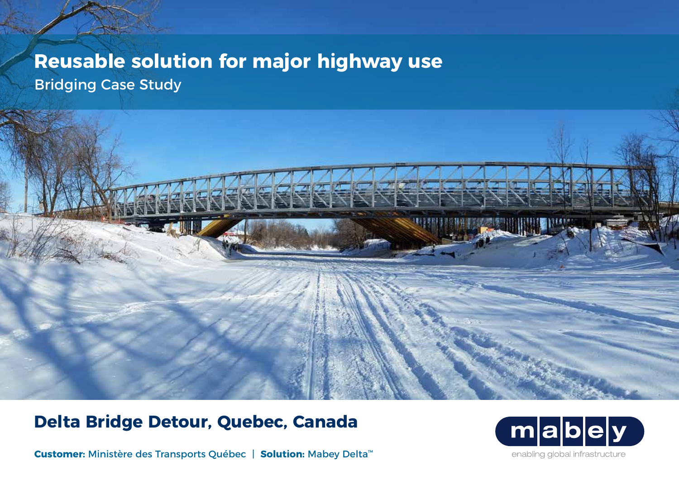# **Reusable solution for major highway use** Bridging Case Study

## **Delta Bridge Detour, Quebec, Canada**

**Customer:** Ministère des Transports Québec | **Solution:** Mabey Delta™